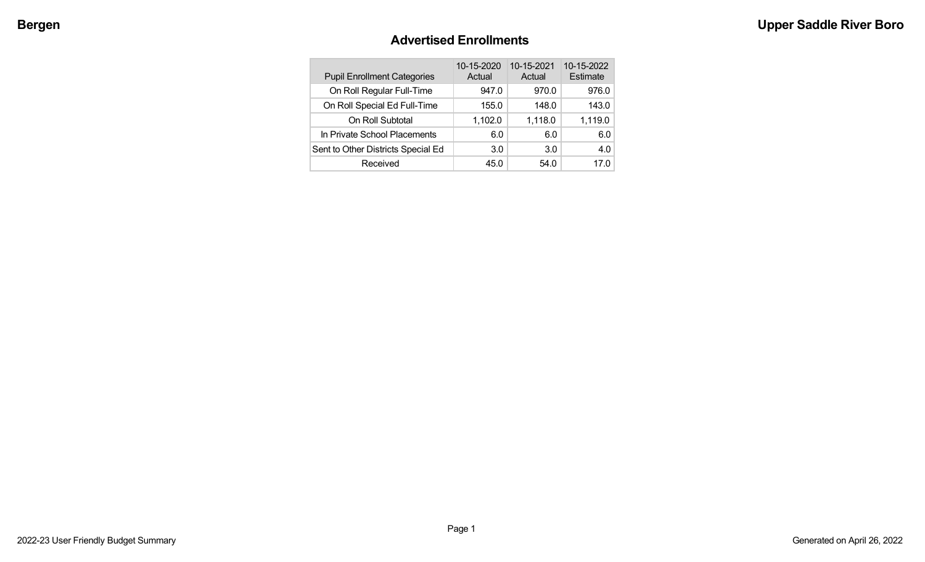#### **Advertised Enrollments**

| <b>Pupil Enrollment Categories</b> | 10-15-2020<br>Actual | 10-15-2021<br>Actual | 10-15-2022<br>Estimate |
|------------------------------------|----------------------|----------------------|------------------------|
| On Roll Regular Full-Time          | 947.0                | 970.0                | 976.0                  |
| On Roll Special Ed Full-Time       | 155.0                | 148.0                | 143.0                  |
| On Roll Subtotal                   | 1,102.0              | 1,118.0              | 1,119.0                |
| In Private School Placements       | 6.0                  | 6.0                  | 6.0                    |
| Sent to Other Districts Special Ed | 3.0                  | 3.0                  | 4.0                    |
| Received                           | 45.0                 | 54.0                 | 17.0                   |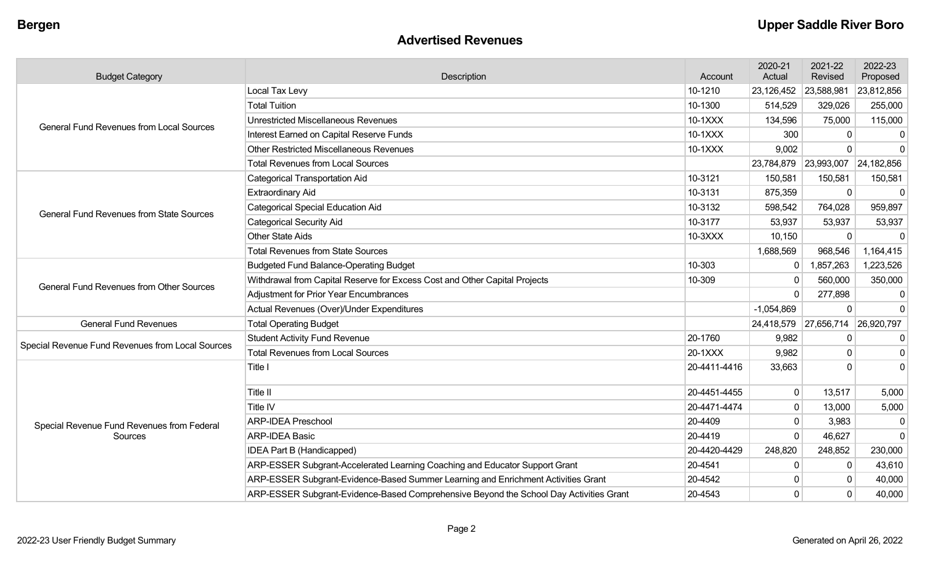#### **Advertised Revenues**

| <b>Budget Category</b>                           | Description                                                                            | Account      | 2020-21<br>Actual | 2021-22<br>Revised               | 2022-23<br>Proposed |
|--------------------------------------------------|----------------------------------------------------------------------------------------|--------------|-------------------|----------------------------------|---------------------|
|                                                  | Local Tax Levy                                                                         | 10-1210      | 23,126,452        | 23,588,981                       | 23,812,856          |
|                                                  | <b>Total Tuition</b>                                                                   | 10-1300      | 514,529           | 329,026                          | 255,000             |
| <b>General Fund Revenues from Local Sources</b>  | <b>Unrestricted Miscellaneous Revenues</b>                                             | 10-1XXX      | 134,596           | 75,000                           | 115,000             |
|                                                  | Interest Earned on Capital Reserve Funds                                               | 10-1XXX      | 300               |                                  | $\mathbf{0}$        |
|                                                  | Other Restricted Miscellaneous Revenues                                                | 10-1XXX      | 9,002             | $\Omega$                         | $\mathbf{0}$        |
|                                                  | <b>Total Revenues from Local Sources</b>                                               |              |                   | 23,784,879 23,993,007            | 24,182,856          |
|                                                  | <b>Categorical Transportation Aid</b>                                                  | 10-3121      | 150,581           | 150,581                          | 150,581             |
|                                                  | <b>Extraordinary Aid</b>                                                               | 10-3131      | 875,359           | $\Omega$                         | $\Omega$            |
| <b>General Fund Revenues from State Sources</b>  | <b>Categorical Special Education Aid</b>                                               | 10-3132      | 598,542           | 764,028                          | 959,897             |
|                                                  | <b>Categorical Security Aid</b>                                                        | 10-3177      | 53,937            | 53,937                           | 53,937              |
|                                                  | <b>Other State Aids</b>                                                                | 10-3XXX      | 10,150            | 0                                | $\Omega$            |
|                                                  | <b>Total Revenues from State Sources</b>                                               |              | 1,688,569         | 968,546                          | 1,164,415           |
|                                                  | <b>Budgeted Fund Balance-Operating Budget</b>                                          | 10-303       | 0                 | 1,857,263                        | 1,223,526           |
| <b>General Fund Revenues from Other Sources</b>  | Withdrawal from Capital Reserve for Excess Cost and Other Capital Projects             | 10-309       | $\mathbf{0}$      | 560,000                          | 350,000             |
|                                                  | <b>Adjustment for Prior Year Encumbrances</b>                                          |              | $\Omega$          | 277,898                          | 0                   |
|                                                  | Actual Revenues (Over)/Under Expenditures                                              |              | $-1,054,869$      | $\Omega$                         | $\mathbf 0$         |
| <b>General Fund Revenues</b>                     | <b>Total Operating Budget</b>                                                          |              |                   | 24,418,579 27,656,714 26,920,797 |                     |
| Special Revenue Fund Revenues from Local Sources | <b>Student Activity Fund Revenue</b>                                                   | 20-1760      | 9,982             | $\mathbf{0}$                     | 0                   |
|                                                  | <b>Total Revenues from Local Sources</b>                                               | 20-1XXX      | 9,982             | $\Omega$                         | $\mathbf 0$         |
|                                                  | Title I                                                                                | 20-4411-4416 | 33,663            | U                                | $\Omega$            |
|                                                  | Title II                                                                               | 20-4451-4455 | 0                 | 13,517                           | 5,000               |
|                                                  | <b>Title IV</b>                                                                        | 20-4471-4474 | $\Omega$          | 13,000                           | 5,000               |
| Special Revenue Fund Revenues from Federal       | <b>ARP-IDEA Preschool</b>                                                              | 20-4409      | $\Omega$          | 3,983                            | $\mathbf 0$         |
| Sources                                          | <b>ARP-IDEA Basic</b>                                                                  | 20-4419      | $\Omega$          | 46,627                           | $\mathbf{0}$        |
|                                                  | <b>IDEA Part B (Handicapped)</b>                                                       | 20-4420-4429 | 248,820           | 248,852                          | 230,000             |
|                                                  | ARP-ESSER Subgrant-Accelerated Learning Coaching and Educator Support Grant            | 20-4541      | $\mathbf{0}$      | $\Omega$                         | 43,610              |
|                                                  | ARP-ESSER Subgrant-Evidence-Based Summer Learning and Enrichment Activities Grant      | 20-4542      | $\Omega$          | $\Omega$                         | 40,000              |
|                                                  | ARP-ESSER Subgrant-Evidence-Based Comprehensive Beyond the School Day Activities Grant | 20-4543      | $\Omega$          | $\Omega$                         | 40,000              |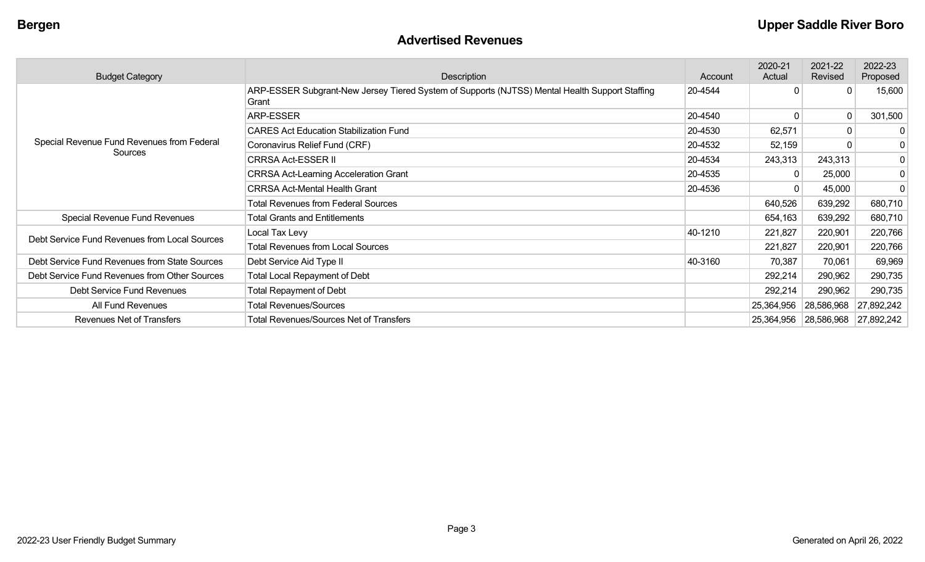#### **Advertised Revenues**

| <b>Budget Category</b>                        | Description                                                                                             | Account | 2020-21<br>Actual | 2021-22<br>Revised    | 2022-23<br>Proposed |
|-----------------------------------------------|---------------------------------------------------------------------------------------------------------|---------|-------------------|-----------------------|---------------------|
|                                               | ARP-ESSER Subgrant-New Jersey Tiered System of Supports (NJTSS) Mental Health Support Staffing<br>Grant | 20-4544 |                   | $\Omega$              | 15,600              |
|                                               | ARP-ESSER                                                                                               | 20-4540 |                   | 0                     | 301,500             |
|                                               | <b>CARES Act Education Stabilization Fund</b>                                                           | 20-4530 | 62,571            | $\mathbf 0$           | $\mathbf{0}$        |
| Special Revenue Fund Revenues from Federal    | Coronavirus Relief Fund (CRF)                                                                           | 20-4532 | 52,159            | $\mathbf 0$           | $\mathbf 0$         |
| Sources                                       | <b>CRRSA Act-ESSER II</b>                                                                               | 20-4534 | 243,313           | 243,313               | 0                   |
|                                               | <b>CRRSA Act-Learning Acceleration Grant</b>                                                            | 20-4535 | 0                 | 25,000                | $\mathbf 0$         |
|                                               | <b>CRRSA Act-Mental Health Grant</b>                                                                    | 20-4536 | 0                 | 45,000                | 0                   |
|                                               | <b>Total Revenues from Federal Sources</b>                                                              |         | 640,526           | 639,292               | 680,710             |
| Special Revenue Fund Revenues                 | <b>Total Grants and Entitlements</b>                                                                    |         | 654,163           | 639,292               | 680,710             |
| Debt Service Fund Revenues from Local Sources | Local Tax Levy                                                                                          | 40-1210 | 221,827           | 220,901               | 220,766             |
|                                               | <b>Total Revenues from Local Sources</b>                                                                |         | 221,827           | 220,901               | 220,766             |
| Debt Service Fund Revenues from State Sources | Debt Service Aid Type II                                                                                | 40-3160 | 70,387            | 70,061                | 69,969              |
| Debt Service Fund Revenues from Other Sources | <b>Total Local Repayment of Debt</b>                                                                    |         | 292,214           | 290,962               | 290,735             |
| Debt Service Fund Revenues                    | <b>Total Repayment of Debt</b>                                                                          |         | 292,214           | 290,962               | 290,735             |
| All Fund Revenues                             | <b>Total Revenues/Sources</b>                                                                           |         | 25,364,956        | 28,586,968            | 27,892,242          |
| Revenues Net of Transfers                     | <b>Total Revenues/Sources Net of Transfers</b>                                                          |         |                   | 25,364,956 28,586,968 | 27,892,242          |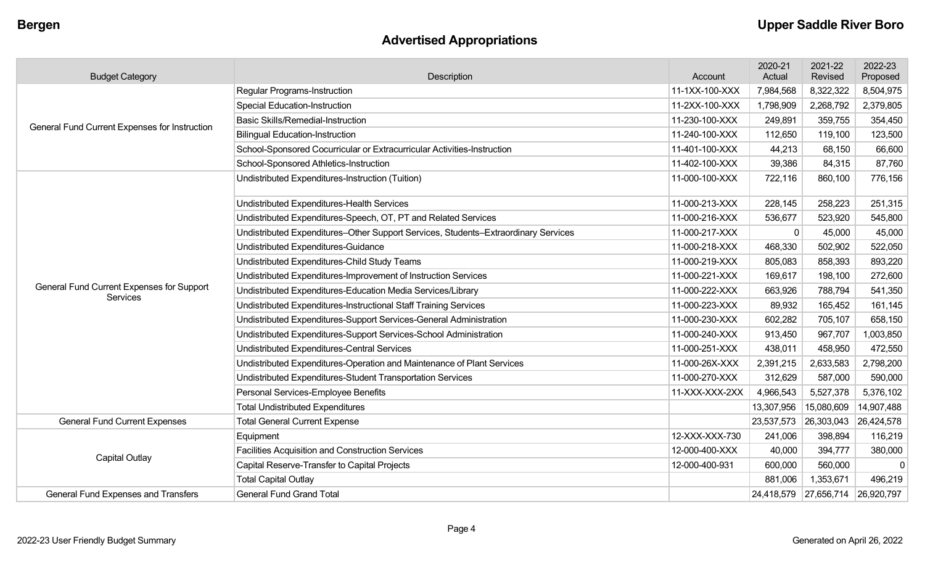## **Advertised Appropriations**

| <b>Budget Category</b>                                       | Description                                                                        | Account        | 2020-21<br>Actual | 2021-22<br>Revised               | 2022-23<br>Proposed |
|--------------------------------------------------------------|------------------------------------------------------------------------------------|----------------|-------------------|----------------------------------|---------------------|
|                                                              | <b>Regular Programs-Instruction</b>                                                | 11-1XX-100-XXX | 7,984,568         | 8,322,322                        | 8,504,975           |
|                                                              | <b>Special Education-Instruction</b>                                               | 11-2XX-100-XXX | 1,798,909         | 2,268,792                        | 2,379,805           |
| General Fund Current Expenses for Instruction                | Basic Skills/Remedial-Instruction                                                  | 11-230-100-XXX | 249,891           | 359,755                          | 354,450             |
|                                                              | <b>Bilingual Education-Instruction</b>                                             | 11-240-100-XXX | 112,650           | 119,100                          | 123,500             |
|                                                              | School-Sponsored Cocurricular or Extracurricular Activities-Instruction            | 11-401-100-XXX | 44,213            | 68,150                           | 66,600              |
|                                                              | School-Sponsored Athletics-Instruction                                             | 11-402-100-XXX | 39,386            | 84,315                           | 87,760              |
|                                                              | Undistributed Expenditures-Instruction (Tuition)                                   | 11-000-100-XXX | 722,116           | 860,100                          | 776,156             |
|                                                              | Undistributed Expenditures-Health Services                                         | 11-000-213-XXX | 228,145           | 258,223                          | 251,315             |
|                                                              | Undistributed Expenditures-Speech, OT, PT and Related Services                     | 11-000-216-XXX | 536,677           | 523,920                          | 545,800             |
|                                                              | Undistributed Expenditures-Other Support Services, Students-Extraordinary Services | 11-000-217-XXX | $\mathbf{0}$      | 45,000                           | 45,000              |
|                                                              | Undistributed Expenditures-Guidance                                                | 11-000-218-XXX | 468,330           | 502,902                          | 522,050             |
|                                                              | Undistributed Expenditures-Child Study Teams                                       | 11-000-219-XXX | 805,083           | 858,393                          | 893,220             |
|                                                              | Undistributed Expenditures-Improvement of Instruction Services                     | 11-000-221-XXX | 169,617           | 198,100                          | 272,600             |
| General Fund Current Expenses for Support<br><b>Services</b> | Undistributed Expenditures-Education Media Services/Library                        | 11-000-222-XXX | 663,926           | 788,794                          | 541,350             |
|                                                              | Undistributed Expenditures-Instructional Staff Training Services                   | 11-000-223-XXX | 89,932            | 165,452                          | 161,145             |
|                                                              | Undistributed Expenditures-Support Services-General Administration                 | 11-000-230-XXX | 602,282           | 705,107                          | 658,150             |
|                                                              | Undistributed Expenditures-Support Services-School Administration                  | 11-000-240-XXX | 913,450           | 967,707                          | 1,003,850           |
|                                                              | <b>Undistributed Expenditures-Central Services</b>                                 | 11-000-251-XXX | 438,011           | 458,950                          | 472,550             |
|                                                              | Undistributed Expenditures-Operation and Maintenance of Plant Services             | 11-000-26X-XXX | 2,391,215         | 2,633,583                        | 2,798,200           |
|                                                              | Undistributed Expenditures-Student Transportation Services                         | 11-000-270-XXX | 312,629           | 587,000                          | 590,000             |
|                                                              | Personal Services-Employee Benefits                                                | 11-XXX-XXX-2XX | 4,966,543         | 5,527,378                        | 5,376,102           |
|                                                              | <b>Total Undistributed Expenditures</b>                                            |                | 13,307,956        | 15,080,609                       | 14,907,488          |
| <b>General Fund Current Expenses</b>                         | <b>Total General Current Expense</b>                                               |                | 23,537,573        | 26,303,043                       | 26,424,578          |
|                                                              | Equipment                                                                          | 12-XXX-XXX-730 | 241,006           | 398,894                          | 116,219             |
| <b>Capital Outlay</b>                                        | <b>Facilities Acquisition and Construction Services</b>                            | 12-000-400-XXX | 40,000            | 394,777                          | 380,000             |
|                                                              | Capital Reserve-Transfer to Capital Projects                                       | 12-000-400-931 | 600,000           | 560,000                          | $\Omega$            |
|                                                              | <b>Total Capital Outlay</b>                                                        |                | 881,006           | 1,353,671                        | 496,219             |
| General Fund Expenses and Transfers                          | <b>General Fund Grand Total</b>                                                    |                |                   | 24,418,579 27,656,714 26,920,797 |                     |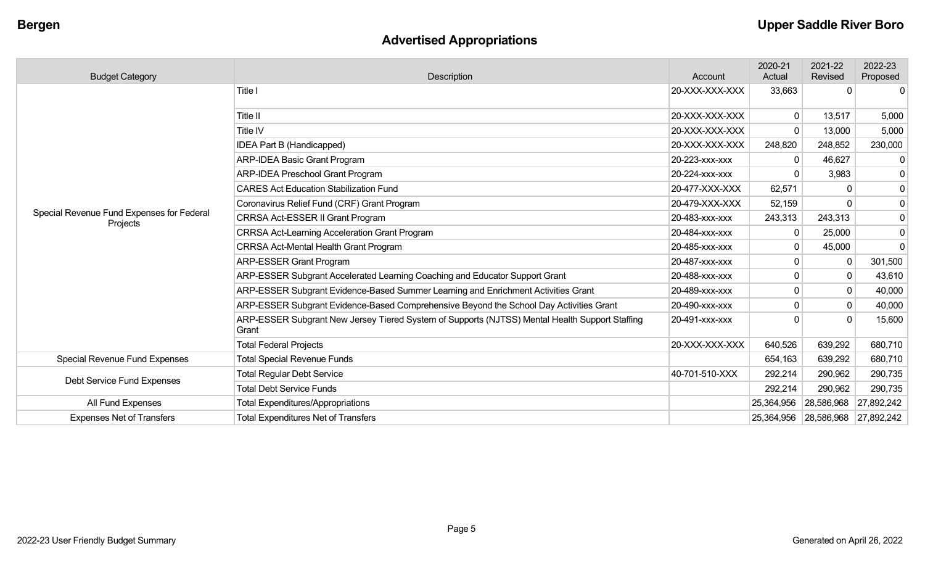# **Advertised Appropriations**

| <b>Budget Category</b>                                | Description                                                                                             | Account        | 2020-21<br>Actual | 2021-22<br>Revised               | 2022-23<br>Proposed |
|-------------------------------------------------------|---------------------------------------------------------------------------------------------------------|----------------|-------------------|----------------------------------|---------------------|
|                                                       | Title I                                                                                                 | 20-XXX-XXX-XXX | 33,663            | $\Omega$                         | $\mathbf{0}$        |
|                                                       | Title II                                                                                                | 20-XXX-XXX-XXX | $\mathbf 0$       | 13,517                           | 5,000               |
|                                                       | Title IV                                                                                                | 20-XXX-XXX-XXX | $\Omega$          | 13,000                           | 5,000               |
|                                                       | IDEA Part B (Handicapped)                                                                               | 20-XXX-XXX-XXX | 248,820           | 248,852                          | 230,000             |
|                                                       | <b>ARP-IDEA Basic Grant Program</b>                                                                     | 20-223-XXX-XXX | 0                 | 46,627                           | $\mathbf 0$         |
|                                                       | <b>ARP-IDEA Preschool Grant Program</b>                                                                 | 20-224-XXX-XXX |                   | 3,983                            | 0                   |
|                                                       | <b>CARES Act Education Stabilization Fund</b>                                                           | 20-477-XXX-XXX | 62,571            |                                  | 0                   |
|                                                       | Coronavirus Relief Fund (CRF) Grant Program                                                             | 20-479-XXX-XXX | 52,159            |                                  | 0                   |
| Special Revenue Fund Expenses for Federal<br>Projects | CRRSA Act-ESSER II Grant Program                                                                        | 20-483-xxx-xxx | 243,313           | 243,313                          | 0                   |
|                                                       | <b>CRRSA Act-Learning Acceleration Grant Program</b>                                                    | 20-484-XXX-XXX | $\mathbf 0$       | 25,000                           | 0                   |
|                                                       | <b>CRRSA Act-Mental Health Grant Program</b>                                                            | 20-485-XXX-XXX | $\Omega$          | 45,000                           | 0                   |
|                                                       | <b>ARP-ESSER Grant Program</b>                                                                          | 20-487-XXX-XXX |                   |                                  | 301,500             |
|                                                       | ARP-ESSER Subgrant Accelerated Learning Coaching and Educator Support Grant                             | 20-488-XXX-XXX |                   | 0                                | 43,610              |
|                                                       | ARP-ESSER Subgrant Evidence-Based Summer Learning and Enrichment Activities Grant                       | 20-489-XXX-XXX |                   |                                  | 40,000              |
|                                                       | ARP-ESSER Subgrant Evidence-Based Comprehensive Beyond the School Day Activities Grant                  | 20-490-xxx-xxx | $\Omega$          | 0                                | 40,000              |
|                                                       | ARP-ESSER Subgrant New Jersey Tiered System of Supports (NJTSS) Mental Health Support Staffing<br>Grant | 20-491-XXX-XXX |                   |                                  | 15,600              |
|                                                       | <b>Total Federal Projects</b>                                                                           | 20-XXX-XXX-XXX | 640,526           | 639,292                          | 680,710             |
| <b>Special Revenue Fund Expenses</b>                  | <b>Total Special Revenue Funds</b>                                                                      |                | 654,163           | 639,292                          | 680,710             |
| Debt Service Fund Expenses                            | <b>Total Regular Debt Service</b>                                                                       | 40-701-510-XXX | 292,214           | 290,962                          | 290,735             |
|                                                       | <b>Total Debt Service Funds</b>                                                                         |                | 292,214           | 290,962                          | 290,735             |
| All Fund Expenses                                     | <b>Total Expenditures/Appropriations</b>                                                                |                | 25,364,956        | 28,586,968                       | 27,892,242          |
| <b>Expenses Net of Transfers</b>                      | <b>Total Expenditures Net of Transfers</b>                                                              |                |                   | 25,364,956 28,586,968 27,892,242 |                     |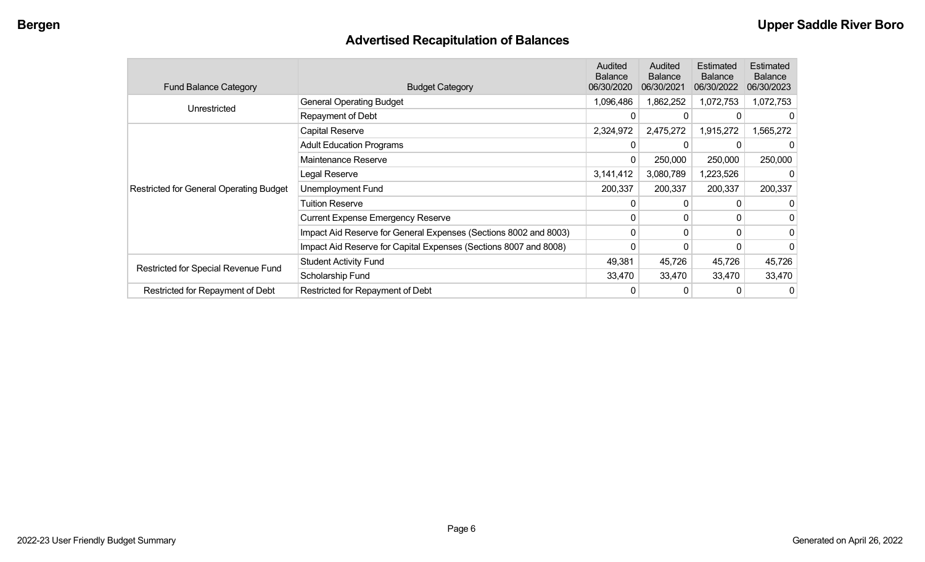## **Advertised Recapitulation of Balances**

| <b>Fund Balance Category</b>                   | <b>Budget Category</b>                                           | Audited<br><b>Balance</b><br>06/30/2020 | Audited<br>Balance<br>06/30/2021 | Estimated<br><b>Balance</b><br>06/30/2022 | Estimated<br><b>Balance</b><br>06/30/2023 |
|------------------------------------------------|------------------------------------------------------------------|-----------------------------------------|----------------------------------|-------------------------------------------|-------------------------------------------|
| Unrestricted                                   | <b>General Operating Budget</b>                                  | 1,096,486                               | 1,862,252                        | 1,072,753                                 | 1,072,753                                 |
|                                                | Repayment of Debt                                                | 0                                       | 0                                |                                           |                                           |
|                                                | Capital Reserve                                                  | 2,324,972                               | 2,475,272                        | 1,915,272                                 | 1,565,272                                 |
|                                                | <b>Adult Education Programs</b>                                  | 0                                       | 0                                |                                           |                                           |
|                                                | Maintenance Reserve                                              | 0                                       | 250,000                          | 250,000                                   | 250,000                                   |
|                                                | Legal Reserve                                                    | 3,141,412                               | 3,080,789                        | 1,223,526                                 |                                           |
| <b>Restricted for General Operating Budget</b> | Unemployment Fund                                                | 200,337                                 | 200,337                          | 200,337                                   | 200,337                                   |
|                                                | <b>Tuition Reserve</b>                                           | 0                                       | 0                                |                                           |                                           |
|                                                | <b>Current Expense Emergency Reserve</b>                         | 0                                       | 0                                | 0                                         |                                           |
|                                                | Impact Aid Reserve for General Expenses (Sections 8002 and 8003) | $\mathbf{0}$                            | 0                                | 0                                         | 0                                         |
|                                                | Impact Aid Reserve for Capital Expenses (Sections 8007 and 8008) | 0                                       | 0                                | 0                                         | 0                                         |
|                                                | <b>Student Activity Fund</b>                                     | 49,381                                  | 45,726                           | 45,726                                    | 45,726                                    |
| Restricted for Special Revenue Fund            | Scholarship Fund                                                 | 33,470                                  | 33,470                           | 33,470                                    | 33,470                                    |
| Restricted for Repayment of Debt               | Restricted for Repayment of Debt                                 |                                         | 0                                | 0                                         | 0                                         |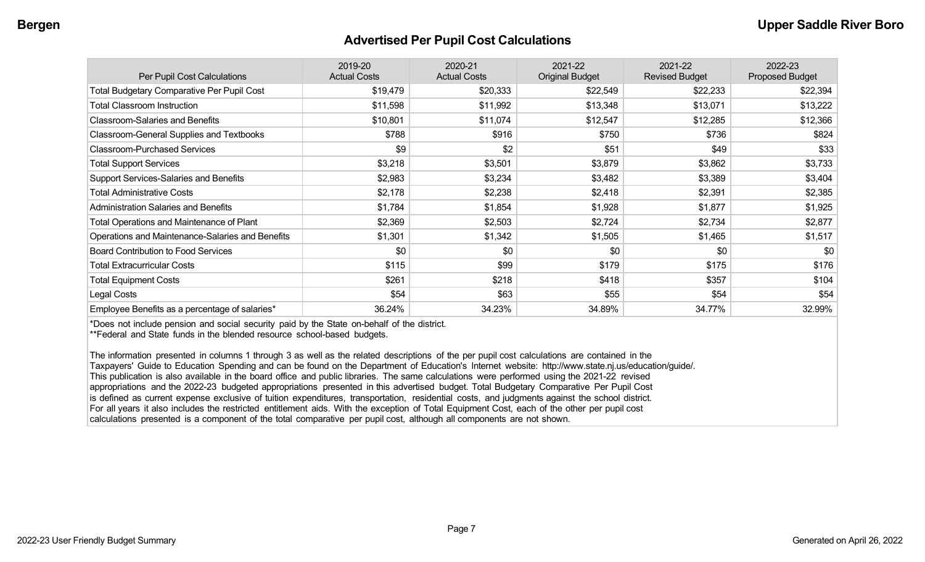#### **Advertised Per Pupil Cost Calculations**

| Per Pupil Cost Calculations                       | 2019-20<br><b>Actual Costs</b> | 2020-21<br><b>Actual Costs</b> | 2021-22<br><b>Original Budget</b> | 2021-22<br><b>Revised Budget</b> | 2022-23<br><b>Proposed Budget</b> |
|---------------------------------------------------|--------------------------------|--------------------------------|-----------------------------------|----------------------------------|-----------------------------------|
| <b>Total Budgetary Comparative Per Pupil Cost</b> | \$19,479                       | \$20,333                       | \$22,549                          | \$22,233                         | \$22,394                          |
| <b>Total Classroom Instruction</b>                | \$11,598                       | \$11,992                       | \$13,348                          | \$13,071                         | \$13,222                          |
| <b>Classroom-Salaries and Benefits</b>            | \$10,801                       | \$11,074                       | \$12,547                          | \$12,285                         | \$12,366                          |
| Classroom-General Supplies and Textbooks          | \$788                          | \$916                          | \$750                             | \$736                            | \$824                             |
| <b>Classroom-Purchased Services</b>               | \$9                            | \$2                            | \$51                              | \$49                             | \$33                              |
| <b>Total Support Services</b>                     | \$3,218                        | \$3,501                        | \$3,879                           | \$3,862                          | \$3,733                           |
| Support Services-Salaries and Benefits            | \$2,983                        | \$3,234                        | \$3,482                           | \$3,389                          | \$3,404                           |
| <b>Total Administrative Costs</b>                 | \$2,178                        | \$2,238                        | \$2,418                           | \$2,391                          | \$2,385                           |
| <b>Administration Salaries and Benefits</b>       | \$1,784                        | \$1,854                        | \$1,928                           | \$1,877                          | \$1,925                           |
| Total Operations and Maintenance of Plant         | \$2,369                        | \$2,503                        | \$2,724                           | \$2,734                          | \$2,877                           |
| Operations and Maintenance-Salaries and Benefits  | \$1,301                        | \$1,342                        | \$1,505                           | \$1,465                          | \$1,517                           |
| <b>Board Contribution to Food Services</b>        | \$0                            | \$0                            | \$0                               | \$0                              | \$0                               |
| <b>Total Extracurricular Costs</b>                | \$115                          | \$99                           | \$179                             | \$175                            | \$176                             |
| <b>Total Equipment Costs</b>                      | \$261                          | \$218                          | \$418                             | \$357                            | \$104                             |
| Legal Costs                                       | \$54                           | \$63                           | \$55                              | \$54                             | \$54                              |
| Employee Benefits as a percentage of salaries*    | 36.24%                         | 34.23%                         | 34.89%                            | 34.77%                           | 32.99%                            |

\*Does not include pension and social security paid by the State on-behalf of the district.

\*\*Federal and State funds in the blended resource school-based budgets.

The information presented in columns 1 through 3 as well as the related descriptions of the per pupil cost calculations are contained in the Taxpayers' Guide to Education Spending and can be found on the Department of Education's Internet website: http://www.state.nj.us/education/guide/. This publication is also available in the board office and public libraries. The same calculations were performed using the 2021-22 revised appropriations and the 2022-23 budgeted appropriations presented in this advertised budget. Total Budgetary Comparative Per Pupil Cost is defined as current expense exclusive of tuition expenditures, transportation, residential costs, and judgments against the school district. For all years it also includes the restricted entitlement aids. With the exception of Total Equipment Cost, each of the other per pupil cost calculations presented is a component of the total comparative per pupil cost, although all components are not shown.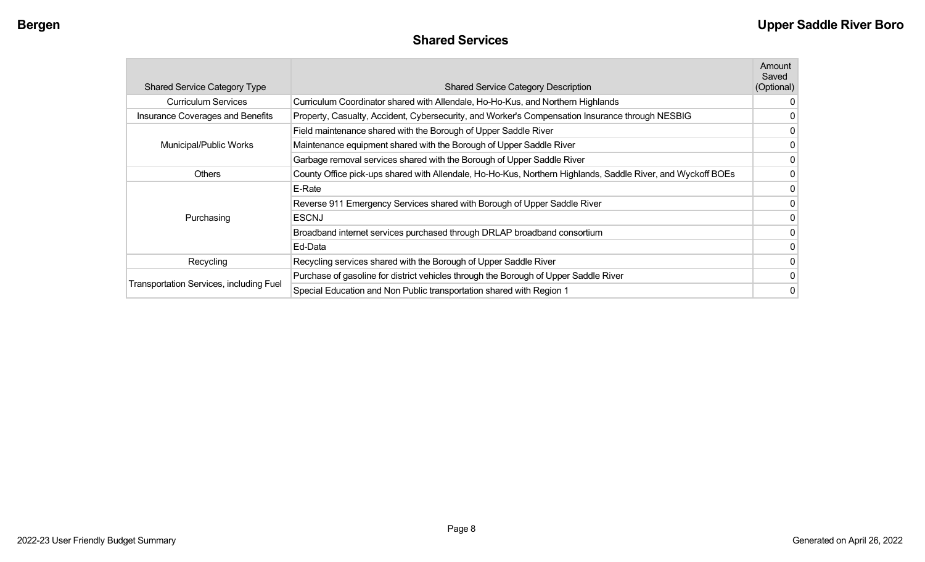| <b>Shared Services</b> |  |
|------------------------|--|
|------------------------|--|

| <b>Shared Service Category Type</b>     | <b>Shared Service Category Description</b>                                                                  | Amount<br>Saved<br>(Optional) |
|-----------------------------------------|-------------------------------------------------------------------------------------------------------------|-------------------------------|
| <b>Curriculum Services</b>              | Curriculum Coordinator shared with Allendale, Ho-Ho-Kus, and Northern Highlands                             | 0                             |
| Insurance Coverages and Benefits        | Property, Casualty, Accident, Cybersecurity, and Worker's Compensation Insurance through NESBIG             | 0                             |
|                                         | Field maintenance shared with the Borough of Upper Saddle River                                             | 0                             |
| Municipal/Public Works                  | Maintenance equipment shared with the Borough of Upper Saddle River                                         | 0                             |
|                                         | Garbage removal services shared with the Borough of Upper Saddle River                                      | 0                             |
| <b>Others</b>                           | County Office pick-ups shared with Allendale, Ho-Ho-Kus, Northern Highlands, Saddle River, and Wyckoff BOEs | 0                             |
|                                         | E-Rate                                                                                                      | 0                             |
|                                         | Reverse 911 Emergency Services shared with Borough of Upper Saddle River                                    | 0                             |
| Purchasing                              | <b>ESCNJ</b>                                                                                                | 0                             |
|                                         | Broadband internet services purchased through DRLAP broadband consortium                                    | 0                             |
|                                         | Ed-Data                                                                                                     | 0                             |
| Recycling                               | Recycling services shared with the Borough of Upper Saddle River                                            | 0                             |
|                                         | Purchase of gasoline for district vehicles through the Borough of Upper Saddle River                        | 0                             |
| Transportation Services, including Fuel | Special Education and Non Public transportation shared with Region 1                                        | 0                             |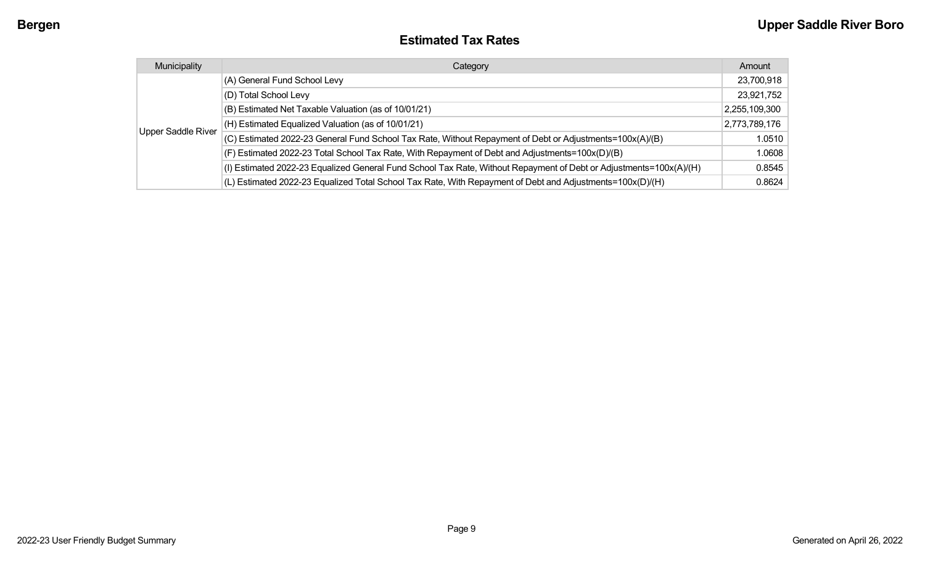#### **Estimated Tax Rates**

| Municipality              | Category                                                                                                           | Amount        |
|---------------------------|--------------------------------------------------------------------------------------------------------------------|---------------|
|                           | (A) General Fund School Levy                                                                                       | 23,700,918    |
|                           | (D) Total School Levy                                                                                              | 23,921,752    |
|                           | (B) Estimated Net Taxable Valuation (as of 10/01/21)                                                               | 2,255,109,300 |
|                           | (H) Estimated Equalized Valuation (as of 10/01/21)                                                                 | 2,773,789,176 |
| <b>Upper Saddle River</b> | (C) Estimated 2022-23 General Fund School Tax Rate, Without Repayment of Debt or Adjustments=100x(A)/(B)           | 1.0510        |
|                           | (F) Estimated 2022-23 Total School Tax Rate, With Repayment of Debt and Adjustments=100x(D)/(B)                    | 1.0608        |
|                           | (I) Estimated 2022-23 Equalized General Fund School Tax Rate, Without Repayment of Debt or Adjustments=100x(A)/(H) | 0.8545        |
|                           | (L) Estimated 2022-23 Equalized Total School Tax Rate, With Repayment of Debt and Adjustments=100x(D)/(H)          | 0.8624        |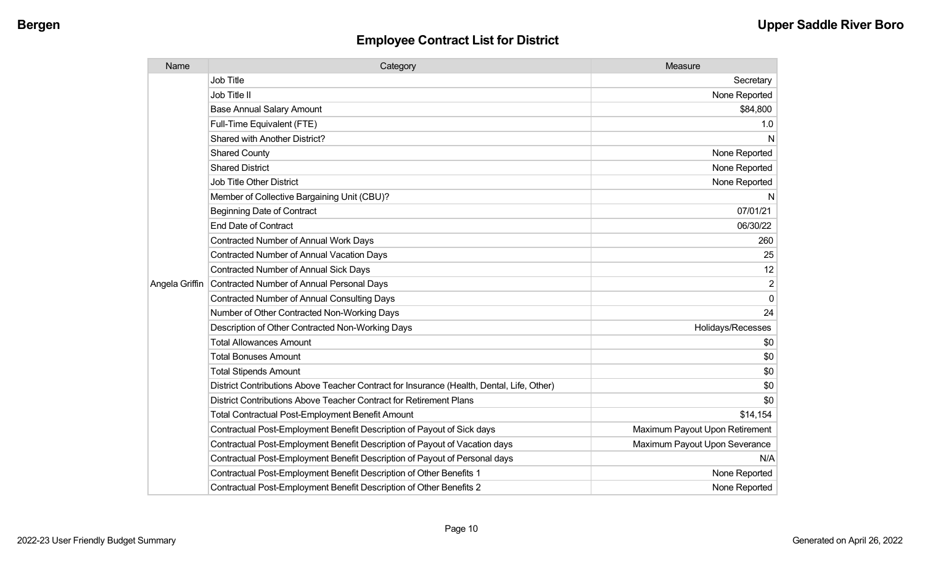| Name           | Category                                                                                  | Measure                        |
|----------------|-------------------------------------------------------------------------------------------|--------------------------------|
|                | <b>Job Title</b>                                                                          | Secretary                      |
|                | Job Title II                                                                              | None Reported                  |
|                | <b>Base Annual Salary Amount</b>                                                          | \$84,800                       |
|                | Full-Time Equivalent (FTE)                                                                | 1.0                            |
|                | Shared with Another District?                                                             | N                              |
|                | <b>Shared County</b>                                                                      | None Reported                  |
|                | <b>Shared District</b>                                                                    | None Reported                  |
|                | <b>Job Title Other District</b>                                                           | None Reported                  |
|                | Member of Collective Bargaining Unit (CBU)?                                               | N                              |
|                | <b>Beginning Date of Contract</b>                                                         | 07/01/21                       |
|                | <b>End Date of Contract</b>                                                               | 06/30/22                       |
|                | <b>Contracted Number of Annual Work Days</b>                                              | 260                            |
|                | <b>Contracted Number of Annual Vacation Days</b>                                          | 25                             |
|                | Contracted Number of Annual Sick Days                                                     | 12                             |
| Angela Griffin | Contracted Number of Annual Personal Days                                                 | $\overline{2}$                 |
|                | <b>Contracted Number of Annual Consulting Days</b>                                        | $\mathbf 0$                    |
|                | Number of Other Contracted Non-Working Days                                               | 24                             |
|                | Description of Other Contracted Non-Working Days                                          | Holidays/Recesses              |
|                | <b>Total Allowances Amount</b>                                                            | \$0                            |
|                | <b>Total Bonuses Amount</b>                                                               | \$0                            |
|                | <b>Total Stipends Amount</b>                                                              | \$0                            |
|                | District Contributions Above Teacher Contract for Insurance (Health, Dental, Life, Other) | \$0                            |
|                | District Contributions Above Teacher Contract for Retirement Plans                        | \$0                            |
|                | <b>Total Contractual Post-Employment Benefit Amount</b>                                   | \$14,154                       |
|                | Contractual Post-Employment Benefit Description of Payout of Sick days                    | Maximum Payout Upon Retirement |
|                | Contractual Post-Employment Benefit Description of Payout of Vacation days                | Maximum Payout Upon Severance  |
|                | Contractual Post-Employment Benefit Description of Payout of Personal days                | N/A                            |
|                | Contractual Post-Employment Benefit Description of Other Benefits 1                       | None Reported                  |
|                | Contractual Post-Employment Benefit Description of Other Benefits 2                       | None Reported                  |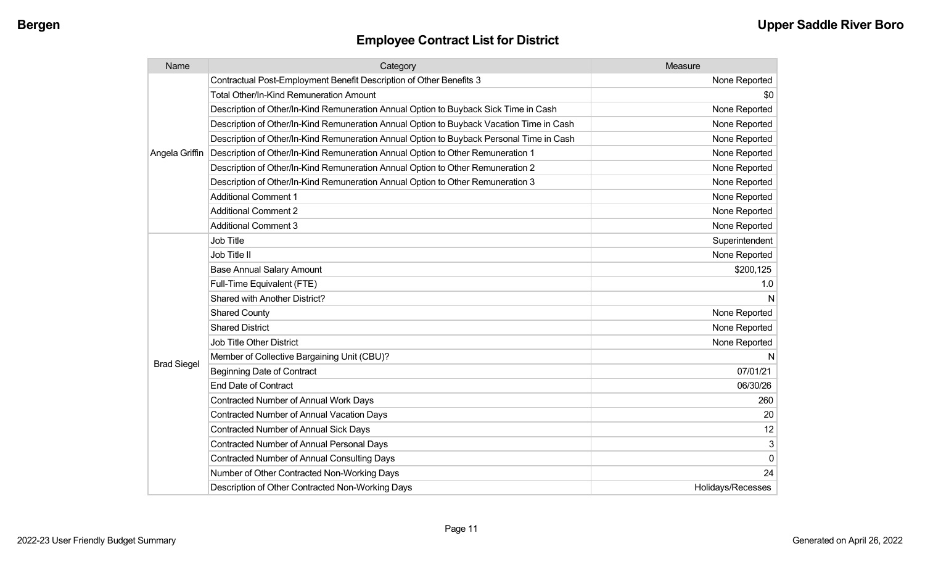| Name               | Category                                                                                 | Measure           |
|--------------------|------------------------------------------------------------------------------------------|-------------------|
|                    | Contractual Post-Employment Benefit Description of Other Benefits 3                      | None Reported     |
|                    | Total Other/In-Kind Remuneration Amount                                                  | \$0               |
|                    | Description of Other/In-Kind Remuneration Annual Option to Buyback Sick Time in Cash     | None Reported     |
|                    | Description of Other/In-Kind Remuneration Annual Option to Buyback Vacation Time in Cash | None Reported     |
|                    | Description of Other/In-Kind Remuneration Annual Option to Buyback Personal Time in Cash | None Reported     |
| Angela Griffin     | Description of Other/In-Kind Remuneration Annual Option to Other Remuneration 1          | None Reported     |
|                    | Description of Other/In-Kind Remuneration Annual Option to Other Remuneration 2          | None Reported     |
|                    | Description of Other/In-Kind Remuneration Annual Option to Other Remuneration 3          | None Reported     |
|                    | <b>Additional Comment 1</b>                                                              | None Reported     |
|                    | <b>Additional Comment 2</b>                                                              | None Reported     |
|                    | <b>Additional Comment 3</b>                                                              | None Reported     |
|                    | <b>Job Title</b>                                                                         | Superintendent    |
|                    | Job Title II                                                                             | None Reported     |
|                    | <b>Base Annual Salary Amount</b>                                                         | \$200,125         |
|                    | Full-Time Equivalent (FTE)                                                               | 1.0               |
|                    | Shared with Another District?                                                            | N                 |
|                    | <b>Shared County</b>                                                                     | None Reported     |
|                    | <b>Shared District</b>                                                                   | None Reported     |
|                    | Job Title Other District                                                                 | None Reported     |
|                    | Member of Collective Bargaining Unit (CBU)?                                              | N                 |
| <b>Brad Siegel</b> | <b>Beginning Date of Contract</b>                                                        | 07/01/21          |
|                    | <b>End Date of Contract</b>                                                              | 06/30/26          |
|                    | <b>Contracted Number of Annual Work Days</b>                                             | 260               |
|                    | <b>Contracted Number of Annual Vacation Days</b>                                         | 20                |
|                    | <b>Contracted Number of Annual Sick Days</b>                                             | 12                |
|                    | Contracted Number of Annual Personal Days                                                | $\mathsf 3$       |
|                    | <b>Contracted Number of Annual Consulting Days</b>                                       | $\pmb{0}$         |
|                    | Number of Other Contracted Non-Working Days                                              | 24                |
|                    | Description of Other Contracted Non-Working Days                                         | Holidays/Recesses |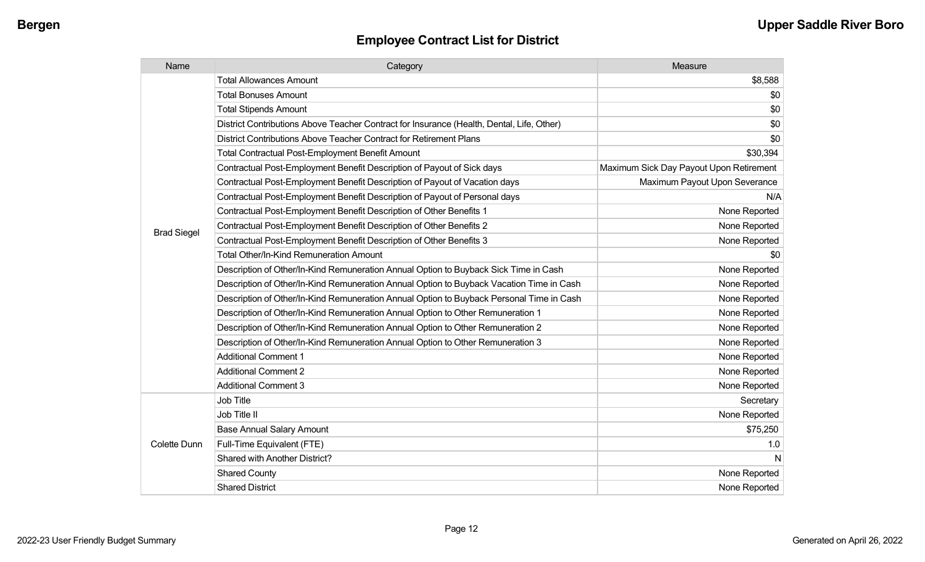| Name               | Category                                                                                  | Measure                                 |
|--------------------|-------------------------------------------------------------------------------------------|-----------------------------------------|
|                    | <b>Total Allowances Amount</b>                                                            | \$8,588                                 |
|                    | <b>Total Bonuses Amount</b>                                                               | \$0                                     |
|                    | <b>Total Stipends Amount</b>                                                              | \$0                                     |
|                    | District Contributions Above Teacher Contract for Insurance (Health, Dental, Life, Other) | \$0                                     |
|                    | District Contributions Above Teacher Contract for Retirement Plans                        | \$0                                     |
|                    | <b>Total Contractual Post-Employment Benefit Amount</b>                                   | \$30,394                                |
|                    | Contractual Post-Employment Benefit Description of Payout of Sick days                    | Maximum Sick Day Payout Upon Retirement |
|                    | Contractual Post-Employment Benefit Description of Payout of Vacation days                | Maximum Payout Upon Severance           |
|                    | Contractual Post-Employment Benefit Description of Payout of Personal days                | N/A                                     |
|                    | Contractual Post-Employment Benefit Description of Other Benefits 1                       | None Reported                           |
|                    | Contractual Post-Employment Benefit Description of Other Benefits 2                       | None Reported                           |
| <b>Brad Siegel</b> | Contractual Post-Employment Benefit Description of Other Benefits 3                       | None Reported                           |
|                    | <b>Total Other/In-Kind Remuneration Amount</b>                                            | \$0                                     |
|                    | Description of Other/In-Kind Remuneration Annual Option to Buyback Sick Time in Cash      | None Reported                           |
|                    | Description of Other/In-Kind Remuneration Annual Option to Buyback Vacation Time in Cash  | None Reported                           |
|                    | Description of Other/In-Kind Remuneration Annual Option to Buyback Personal Time in Cash  | None Reported                           |
|                    | Description of Other/In-Kind Remuneration Annual Option to Other Remuneration 1           | None Reported                           |
|                    | Description of Other/In-Kind Remuneration Annual Option to Other Remuneration 2           | None Reported                           |
|                    | Description of Other/In-Kind Remuneration Annual Option to Other Remuneration 3           | None Reported                           |
|                    | <b>Additional Comment 1</b>                                                               | None Reported                           |
|                    | <b>Additional Comment 2</b>                                                               | None Reported                           |
|                    | <b>Additional Comment 3</b>                                                               | None Reported                           |
|                    | Job Title                                                                                 | Secretary                               |
| Colette Dunn       | Job Title II                                                                              | None Reported                           |
|                    | <b>Base Annual Salary Amount</b>                                                          | \$75,250                                |
|                    | Full-Time Equivalent (FTE)                                                                | 1.0                                     |
|                    | Shared with Another District?                                                             | N                                       |
|                    | <b>Shared County</b>                                                                      | None Reported                           |
|                    | <b>Shared District</b>                                                                    | None Reported                           |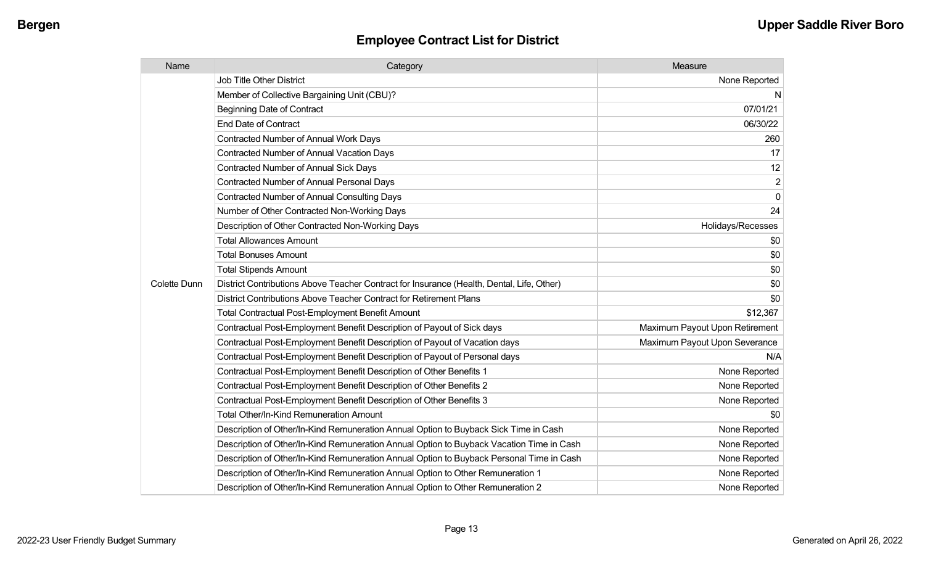| Name                | Category                                                                                  | Measure                        |
|---------------------|-------------------------------------------------------------------------------------------|--------------------------------|
|                     | <b>Job Title Other District</b>                                                           | None Reported                  |
|                     | Member of Collective Bargaining Unit (CBU)?                                               | N                              |
|                     | <b>Beginning Date of Contract</b>                                                         | 07/01/21                       |
|                     | <b>End Date of Contract</b>                                                               | 06/30/22                       |
|                     | <b>Contracted Number of Annual Work Days</b>                                              | 260                            |
|                     | Contracted Number of Annual Vacation Days                                                 | 17                             |
|                     | Contracted Number of Annual Sick Days                                                     | 12                             |
|                     | <b>Contracted Number of Annual Personal Days</b>                                          | $\overline{2}$                 |
|                     | <b>Contracted Number of Annual Consulting Days</b>                                        | $\mathbf{0}$                   |
|                     | Number of Other Contracted Non-Working Days                                               | 24                             |
|                     | Description of Other Contracted Non-Working Days                                          | Holidays/Recesses              |
|                     | <b>Total Allowances Amount</b>                                                            | \$0                            |
|                     | <b>Total Bonuses Amount</b>                                                               | \$0                            |
|                     | <b>Total Stipends Amount</b>                                                              | \$0                            |
| <b>Colette Dunn</b> | District Contributions Above Teacher Contract for Insurance (Health, Dental, Life, Other) | \$0                            |
|                     | District Contributions Above Teacher Contract for Retirement Plans                        | \$0                            |
|                     | <b>Total Contractual Post-Employment Benefit Amount</b>                                   | \$12,367                       |
|                     | Contractual Post-Employment Benefit Description of Payout of Sick days                    | Maximum Payout Upon Retirement |
|                     | Contractual Post-Employment Benefit Description of Payout of Vacation days                | Maximum Payout Upon Severance  |
|                     | Contractual Post-Employment Benefit Description of Payout of Personal days                | N/A                            |
|                     | Contractual Post-Employment Benefit Description of Other Benefits 1                       | None Reported                  |
|                     | Contractual Post-Employment Benefit Description of Other Benefits 2                       | None Reported                  |
|                     | Contractual Post-Employment Benefit Description of Other Benefits 3                       | None Reported                  |
|                     | Total Other/In-Kind Remuneration Amount                                                   | \$0                            |
|                     | Description of Other/In-Kind Remuneration Annual Option to Buyback Sick Time in Cash      | None Reported                  |
|                     | Description of Other/In-Kind Remuneration Annual Option to Buyback Vacation Time in Cash  | None Reported                  |
|                     | Description of Other/In-Kind Remuneration Annual Option to Buyback Personal Time in Cash  | None Reported                  |
|                     | Description of Other/In-Kind Remuneration Annual Option to Other Remuneration 1           | None Reported                  |
|                     | Description of Other/In-Kind Remuneration Annual Option to Other Remuneration 2           | None Reported                  |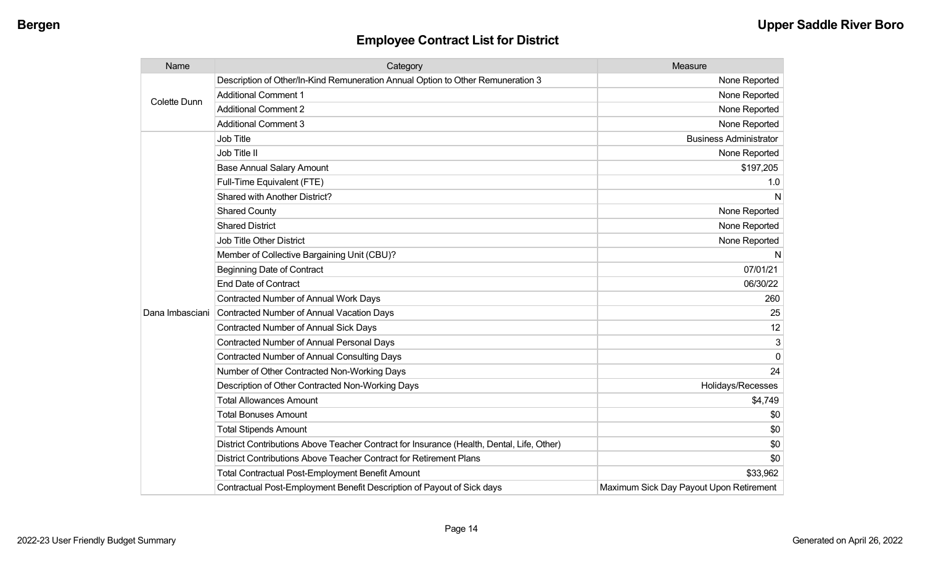| Name                | Category                                                                                  | Measure                                 |
|---------------------|-------------------------------------------------------------------------------------------|-----------------------------------------|
| <b>Colette Dunn</b> | Description of Other/In-Kind Remuneration Annual Option to Other Remuneration 3           | None Reported                           |
|                     | <b>Additional Comment 1</b>                                                               | None Reported                           |
|                     | <b>Additional Comment 2</b>                                                               | None Reported                           |
|                     | <b>Additional Comment 3</b>                                                               | None Reported                           |
|                     | Job Title                                                                                 | <b>Business Administrator</b>           |
|                     | Job Title II                                                                              | None Reported                           |
|                     | <b>Base Annual Salary Amount</b>                                                          | \$197,205                               |
|                     | Full-Time Equivalent (FTE)                                                                | 1.0                                     |
|                     | Shared with Another District?                                                             | N                                       |
|                     | <b>Shared County</b>                                                                      | None Reported                           |
|                     | <b>Shared District</b>                                                                    | None Reported                           |
|                     | <b>Job Title Other District</b>                                                           | None Reported                           |
|                     | Member of Collective Bargaining Unit (CBU)?                                               | N                                       |
|                     | <b>Beginning Date of Contract</b>                                                         | 07/01/21                                |
|                     | <b>End Date of Contract</b>                                                               | 06/30/22                                |
|                     | Contracted Number of Annual Work Days                                                     | 260                                     |
| Dana Imbasciani     | Contracted Number of Annual Vacation Days                                                 | 25                                      |
|                     | Contracted Number of Annual Sick Days                                                     | 12                                      |
|                     | Contracted Number of Annual Personal Days                                                 | 3                                       |
|                     | Contracted Number of Annual Consulting Days                                               | $\Omega$                                |
|                     | Number of Other Contracted Non-Working Days                                               | 24                                      |
|                     | Description of Other Contracted Non-Working Days                                          | Holidays/Recesses                       |
|                     | <b>Total Allowances Amount</b>                                                            | \$4,749                                 |
|                     | <b>Total Bonuses Amount</b>                                                               | \$0                                     |
|                     | <b>Total Stipends Amount</b>                                                              | \$0                                     |
|                     | District Contributions Above Teacher Contract for Insurance (Health, Dental, Life, Other) | \$0                                     |
|                     | District Contributions Above Teacher Contract for Retirement Plans                        | \$0                                     |
|                     | <b>Total Contractual Post-Employment Benefit Amount</b>                                   | \$33,962                                |
|                     | Contractual Post-Employment Benefit Description of Payout of Sick days                    | Maximum Sick Day Payout Upon Retirement |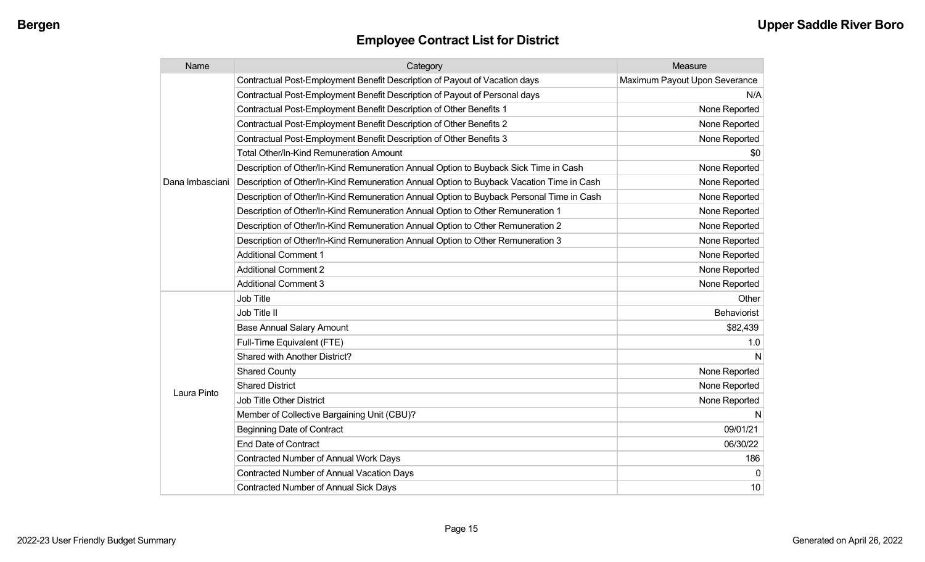| Name            | Category                                                                                 | Measure                       |
|-----------------|------------------------------------------------------------------------------------------|-------------------------------|
|                 | Contractual Post-Employment Benefit Description of Payout of Vacation days               | Maximum Payout Upon Severance |
|                 | Contractual Post-Employment Benefit Description of Payout of Personal days               | N/A                           |
|                 | Contractual Post-Employment Benefit Description of Other Benefits 1                      | None Reported                 |
|                 | Contractual Post-Employment Benefit Description of Other Benefits 2                      | None Reported                 |
|                 | Contractual Post-Employment Benefit Description of Other Benefits 3                      | None Reported                 |
|                 | Total Other/In-Kind Remuneration Amount                                                  | \$0                           |
|                 | Description of Other/In-Kind Remuneration Annual Option to Buyback Sick Time in Cash     | None Reported                 |
| Dana Imbasciani | Description of Other/In-Kind Remuneration Annual Option to Buyback Vacation Time in Cash | None Reported                 |
|                 | Description of Other/In-Kind Remuneration Annual Option to Buyback Personal Time in Cash | None Reported                 |
|                 | Description of Other/In-Kind Remuneration Annual Option to Other Remuneration 1          | None Reported                 |
|                 | Description of Other/In-Kind Remuneration Annual Option to Other Remuneration 2          | None Reported                 |
|                 | Description of Other/In-Kind Remuneration Annual Option to Other Remuneration 3          | None Reported                 |
|                 | <b>Additional Comment 1</b>                                                              | None Reported                 |
|                 | <b>Additional Comment 2</b>                                                              | None Reported                 |
|                 | <b>Additional Comment 3</b>                                                              | None Reported                 |
|                 | Job Title                                                                                | Other                         |
|                 | Job Title II                                                                             | Behaviorist                   |
|                 | <b>Base Annual Salary Amount</b>                                                         | \$82,439                      |
|                 | Full-Time Equivalent (FTE)                                                               | 1.0                           |
|                 | Shared with Another District?                                                            | N                             |
|                 | <b>Shared County</b>                                                                     | None Reported                 |
| Laura Pinto     | <b>Shared District</b>                                                                   | None Reported                 |
|                 | Job Title Other District                                                                 | None Reported                 |
|                 | Member of Collective Bargaining Unit (CBU)?                                              | N                             |
|                 | <b>Beginning Date of Contract</b>                                                        | 09/01/21                      |
|                 | <b>End Date of Contract</b>                                                              | 06/30/22                      |
|                 | <b>Contracted Number of Annual Work Days</b>                                             | 186                           |
|                 | <b>Contracted Number of Annual Vacation Days</b>                                         | $\Omega$                      |
|                 | <b>Contracted Number of Annual Sick Days</b>                                             | 10                            |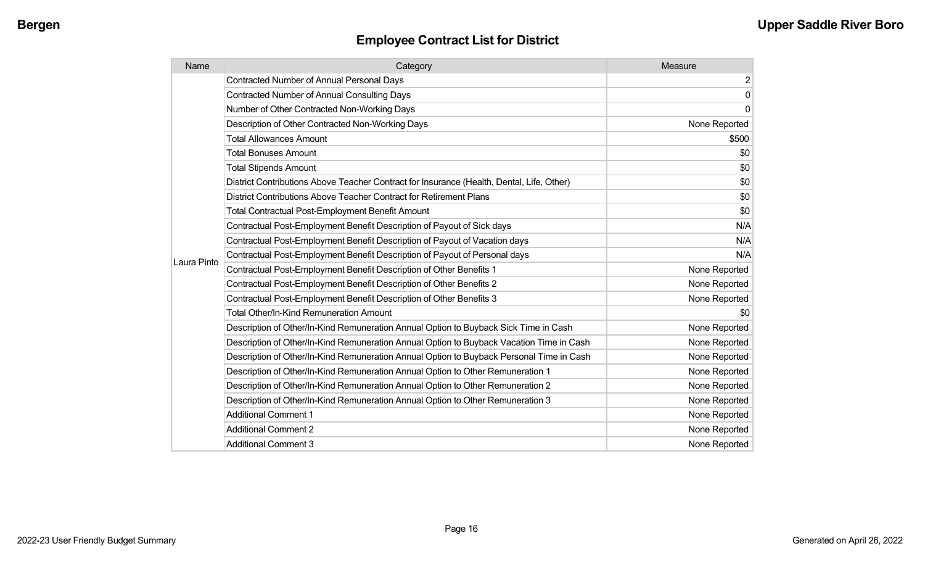| Name        | Category                                                                                  | Measure        |
|-------------|-------------------------------------------------------------------------------------------|----------------|
|             | <b>Contracted Number of Annual Personal Days</b>                                          | $\overline{2}$ |
|             | <b>Contracted Number of Annual Consulting Days</b>                                        | $\mathbf 0$    |
|             | Number of Other Contracted Non-Working Days                                               | $\mathbf{0}$   |
|             | Description of Other Contracted Non-Working Days                                          | None Reported  |
|             | <b>Total Allowances Amount</b>                                                            | \$500          |
|             | <b>Total Bonuses Amount</b>                                                               | \$0            |
|             | <b>Total Stipends Amount</b>                                                              | \$0            |
|             | District Contributions Above Teacher Contract for Insurance (Health, Dental, Life, Other) | \$0            |
|             | District Contributions Above Teacher Contract for Retirement Plans                        | \$0            |
|             | <b>Total Contractual Post-Employment Benefit Amount</b>                                   | \$0            |
|             | Contractual Post-Employment Benefit Description of Payout of Sick days                    | N/A            |
|             | Contractual Post-Employment Benefit Description of Payout of Vacation days                | N/A            |
| Laura Pinto | Contractual Post-Employment Benefit Description of Payout of Personal days                | N/A            |
|             | Contractual Post-Employment Benefit Description of Other Benefits 1                       | None Reported  |
|             | Contractual Post-Employment Benefit Description of Other Benefits 2                       | None Reported  |
|             | Contractual Post-Employment Benefit Description of Other Benefits 3                       | None Reported  |
|             | <b>Total Other/In-Kind Remuneration Amount</b>                                            | \$0            |
|             | Description of Other/In-Kind Remuneration Annual Option to Buyback Sick Time in Cash      | None Reported  |
|             | Description of Other/In-Kind Remuneration Annual Option to Buyback Vacation Time in Cash  | None Reported  |
|             | Description of Other/In-Kind Remuneration Annual Option to Buyback Personal Time in Cash  | None Reported  |
|             | Description of Other/In-Kind Remuneration Annual Option to Other Remuneration 1           | None Reported  |
|             | Description of Other/In-Kind Remuneration Annual Option to Other Remuneration 2           | None Reported  |
|             | Description of Other/In-Kind Remuneration Annual Option to Other Remuneration 3           | None Reported  |
|             | <b>Additional Comment 1</b>                                                               | None Reported  |
|             | <b>Additional Comment 2</b>                                                               | None Reported  |
|             | <b>Additional Comment 3</b>                                                               | None Reported  |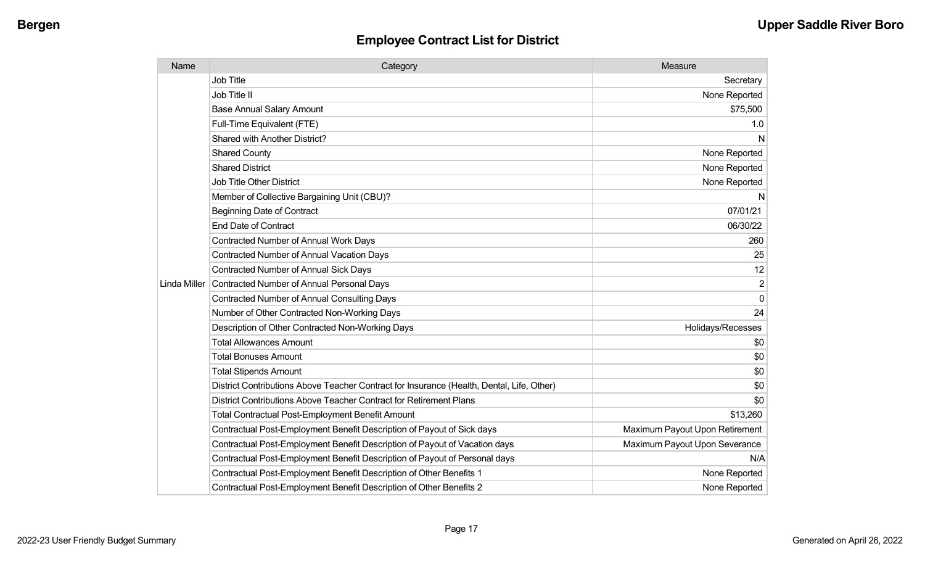| Name         | Category                                                                                  | Measure                        |
|--------------|-------------------------------------------------------------------------------------------|--------------------------------|
|              | Job Title                                                                                 | Secretary                      |
|              | Job Title II                                                                              | None Reported                  |
|              | <b>Base Annual Salary Amount</b>                                                          | \$75,500                       |
|              | Full-Time Equivalent (FTE)                                                                | 1.0                            |
|              | Shared with Another District?                                                             | N                              |
|              | <b>Shared County</b>                                                                      | None Reported                  |
|              | <b>Shared District</b>                                                                    | None Reported                  |
|              | <b>Job Title Other District</b>                                                           | None Reported                  |
|              | Member of Collective Bargaining Unit (CBU)?                                               | N                              |
|              | <b>Beginning Date of Contract</b>                                                         | 07/01/21                       |
|              | <b>End Date of Contract</b>                                                               | 06/30/22                       |
|              | <b>Contracted Number of Annual Work Days</b>                                              | 260                            |
|              | Contracted Number of Annual Vacation Days                                                 | 25                             |
|              | <b>Contracted Number of Annual Sick Days</b>                                              | 12                             |
| Linda Miller | Contracted Number of Annual Personal Days                                                 | $\overline{2}$                 |
|              | <b>Contracted Number of Annual Consulting Days</b>                                        | $\mathbf{0}$                   |
|              | Number of Other Contracted Non-Working Days                                               | 24                             |
|              | Description of Other Contracted Non-Working Days                                          | Holidays/Recesses              |
|              | <b>Total Allowances Amount</b>                                                            | \$0                            |
|              | <b>Total Bonuses Amount</b>                                                               | \$0                            |
|              | <b>Total Stipends Amount</b>                                                              | \$0                            |
|              | District Contributions Above Teacher Contract for Insurance (Health, Dental, Life, Other) | \$0                            |
|              | District Contributions Above Teacher Contract for Retirement Plans                        | \$0                            |
|              | <b>Total Contractual Post-Employment Benefit Amount</b>                                   | \$13,260                       |
|              | Contractual Post-Employment Benefit Description of Payout of Sick days                    | Maximum Payout Upon Retirement |
|              | Contractual Post-Employment Benefit Description of Payout of Vacation days                | Maximum Payout Upon Severance  |
|              | Contractual Post-Employment Benefit Description of Payout of Personal days                | N/A                            |
|              | Contractual Post-Employment Benefit Description of Other Benefits 1                       | None Reported                  |
|              | Contractual Post-Employment Benefit Description of Other Benefits 2                       | None Reported                  |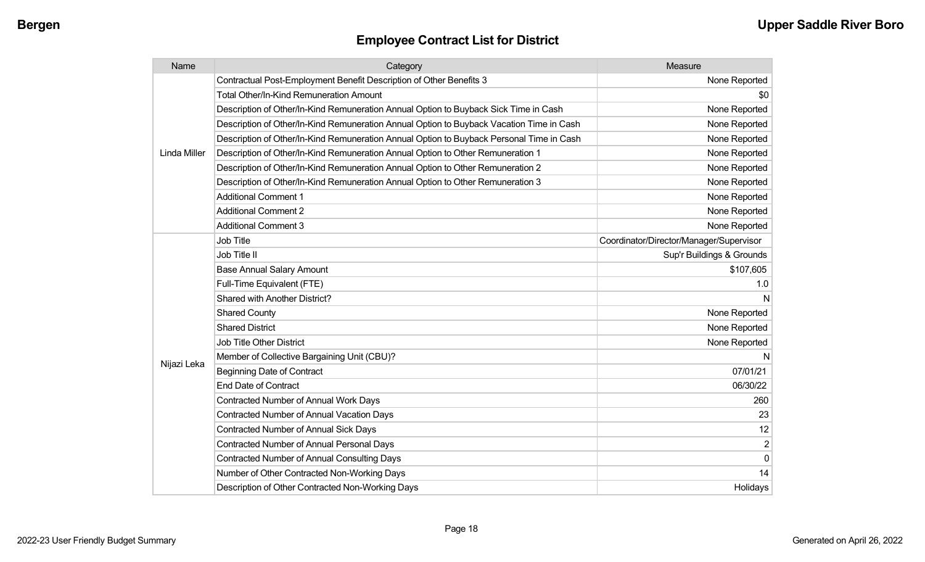| Name                | Category                                                                                 | Measure                                 |
|---------------------|------------------------------------------------------------------------------------------|-----------------------------------------|
|                     | Contractual Post-Employment Benefit Description of Other Benefits 3                      | None Reported                           |
|                     | Total Other/In-Kind Remuneration Amount                                                  | \$0                                     |
|                     | Description of Other/In-Kind Remuneration Annual Option to Buyback Sick Time in Cash     | None Reported                           |
|                     | Description of Other/In-Kind Remuneration Annual Option to Buyback Vacation Time in Cash | None Reported                           |
|                     | Description of Other/In-Kind Remuneration Annual Option to Buyback Personal Time in Cash | None Reported                           |
| <b>Linda Miller</b> | Description of Other/In-Kind Remuneration Annual Option to Other Remuneration 1          | None Reported                           |
|                     | Description of Other/In-Kind Remuneration Annual Option to Other Remuneration 2          | None Reported                           |
|                     | Description of Other/In-Kind Remuneration Annual Option to Other Remuneration 3          | None Reported                           |
|                     | <b>Additional Comment 1</b>                                                              | None Reported                           |
|                     | <b>Additional Comment 2</b>                                                              | None Reported                           |
|                     | <b>Additional Comment 3</b>                                                              | None Reported                           |
|                     | <b>Job Title</b>                                                                         | Coordinator/Director/Manager/Supervisor |
|                     | Job Title II                                                                             | Sup'r Buildings & Grounds               |
|                     | <b>Base Annual Salary Amount</b>                                                         | \$107,605                               |
|                     | Full-Time Equivalent (FTE)                                                               | 1.0                                     |
|                     | Shared with Another District?                                                            | N                                       |
|                     | <b>Shared County</b>                                                                     | None Reported                           |
|                     | <b>Shared District</b>                                                                   | None Reported                           |
|                     | <b>Job Title Other District</b>                                                          | None Reported                           |
|                     | Member of Collective Bargaining Unit (CBU)?                                              | N                                       |
| Nijazi Leka         | <b>Beginning Date of Contract</b>                                                        | 07/01/21                                |
|                     | <b>End Date of Contract</b>                                                              | 06/30/22                                |
|                     | <b>Contracted Number of Annual Work Days</b>                                             | 260                                     |
|                     | <b>Contracted Number of Annual Vacation Days</b>                                         | 23                                      |
|                     | Contracted Number of Annual Sick Days                                                    | 12                                      |
|                     | Contracted Number of Annual Personal Days                                                | $\boldsymbol{2}$                        |
|                     | <b>Contracted Number of Annual Consulting Days</b>                                       | $\pmb{0}$                               |
|                     | Number of Other Contracted Non-Working Days                                              | 14                                      |
|                     | Description of Other Contracted Non-Working Days                                         | Holidays                                |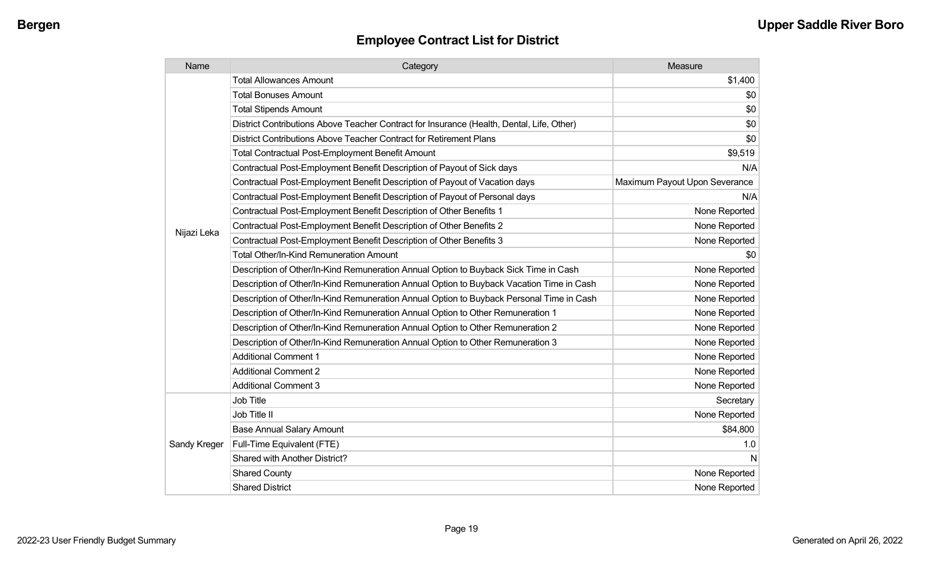| Name         | Category                                                                                  | Measure                       |
|--------------|-------------------------------------------------------------------------------------------|-------------------------------|
|              | <b>Total Allowances Amount</b>                                                            | \$1,400                       |
|              | <b>Total Bonuses Amount</b>                                                               | \$0                           |
|              | <b>Total Stipends Amount</b>                                                              | \$0                           |
|              | District Contributions Above Teacher Contract for Insurance (Health, Dental, Life, Other) | \$0                           |
|              | District Contributions Above Teacher Contract for Retirement Plans                        | \$0                           |
|              | <b>Total Contractual Post-Employment Benefit Amount</b>                                   | \$9,519                       |
|              | Contractual Post-Employment Benefit Description of Payout of Sick days                    | N/A                           |
|              | Contractual Post-Employment Benefit Description of Payout of Vacation days                | Maximum Payout Upon Severance |
|              | Contractual Post-Employment Benefit Description of Payout of Personal days                | N/A                           |
|              | Contractual Post-Employment Benefit Description of Other Benefits 1                       | None Reported                 |
| Nijazi Leka  | Contractual Post-Employment Benefit Description of Other Benefits 2                       | None Reported                 |
|              | Contractual Post-Employment Benefit Description of Other Benefits 3                       | None Reported                 |
|              | <b>Total Other/In-Kind Remuneration Amount</b>                                            | \$0                           |
|              | Description of Other/In-Kind Remuneration Annual Option to Buyback Sick Time in Cash      | None Reported                 |
|              | Description of Other/In-Kind Remuneration Annual Option to Buyback Vacation Time in Cash  | None Reported                 |
|              | Description of Other/In-Kind Remuneration Annual Option to Buyback Personal Time in Cash  | None Reported                 |
|              | Description of Other/In-Kind Remuneration Annual Option to Other Remuneration 1           | None Reported                 |
|              | Description of Other/In-Kind Remuneration Annual Option to Other Remuneration 2           | None Reported                 |
|              | Description of Other/In-Kind Remuneration Annual Option to Other Remuneration 3           | None Reported                 |
|              | <b>Additional Comment 1</b>                                                               | None Reported                 |
|              | <b>Additional Comment 2</b>                                                               | None Reported                 |
|              | <b>Additional Comment 3</b>                                                               | None Reported                 |
|              | Job Title                                                                                 | Secretary                     |
| Sandy Kreger | Job Title II                                                                              | None Reported                 |
|              | <b>Base Annual Salary Amount</b>                                                          | \$84,800                      |
|              | Full-Time Equivalent (FTE)                                                                | 1.0                           |
|              | Shared with Another District?                                                             | N                             |
|              | <b>Shared County</b>                                                                      | None Reported                 |
|              | <b>Shared District</b>                                                                    | None Reported                 |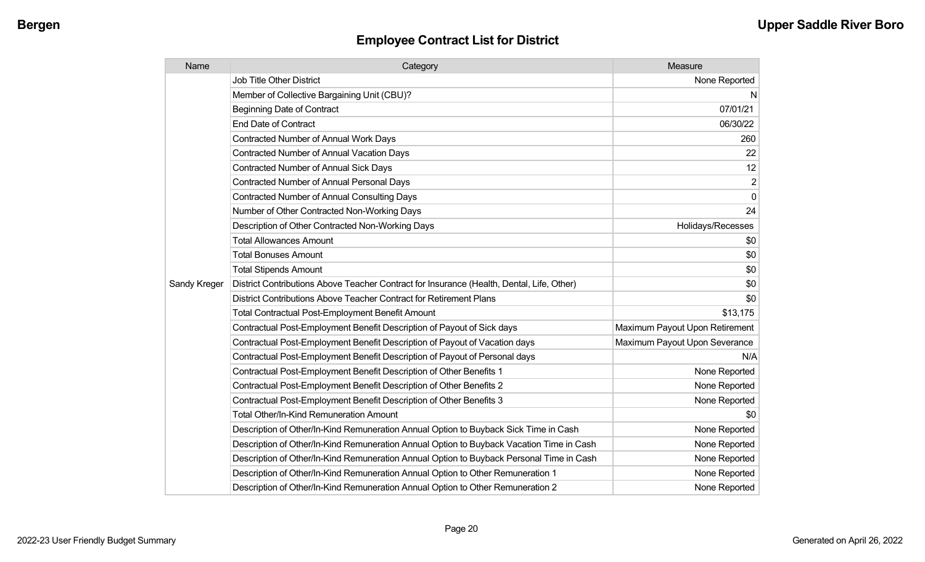| Name         | Category                                                                                  | Measure                        |
|--------------|-------------------------------------------------------------------------------------------|--------------------------------|
|              | <b>Job Title Other District</b>                                                           | None Reported                  |
|              | Member of Collective Bargaining Unit (CBU)?                                               | N.                             |
|              | <b>Beginning Date of Contract</b>                                                         | 07/01/21                       |
|              | <b>End Date of Contract</b>                                                               | 06/30/22                       |
|              | <b>Contracted Number of Annual Work Days</b>                                              | 260                            |
|              | <b>Contracted Number of Annual Vacation Days</b>                                          | 22                             |
|              | Contracted Number of Annual Sick Days                                                     | 12                             |
|              | Contracted Number of Annual Personal Days                                                 | $\overline{\mathbf{c}}$        |
|              | <b>Contracted Number of Annual Consulting Days</b>                                        | $\mathbf 0$                    |
|              | Number of Other Contracted Non-Working Days                                               | 24                             |
|              | Description of Other Contracted Non-Working Days                                          | Holidays/Recesses              |
|              | <b>Total Allowances Amount</b>                                                            | \$0                            |
|              | <b>Total Bonuses Amount</b>                                                               | \$0                            |
|              | <b>Total Stipends Amount</b>                                                              | \$0                            |
| Sandy Kreger | District Contributions Above Teacher Contract for Insurance (Health, Dental, Life, Other) | \$0                            |
|              | District Contributions Above Teacher Contract for Retirement Plans                        | \$0                            |
|              | <b>Total Contractual Post-Employment Benefit Amount</b>                                   | \$13,175                       |
|              | Contractual Post-Employment Benefit Description of Payout of Sick days                    | Maximum Payout Upon Retirement |
|              | Contractual Post-Employment Benefit Description of Payout of Vacation days                | Maximum Payout Upon Severance  |
|              | Contractual Post-Employment Benefit Description of Payout of Personal days                | N/A                            |
|              | Contractual Post-Employment Benefit Description of Other Benefits 1                       | None Reported                  |
|              | Contractual Post-Employment Benefit Description of Other Benefits 2                       | None Reported                  |
|              | Contractual Post-Employment Benefit Description of Other Benefits 3                       | None Reported                  |
|              | Total Other/In-Kind Remuneration Amount                                                   | \$0                            |
|              | Description of Other/In-Kind Remuneration Annual Option to Buyback Sick Time in Cash      | None Reported                  |
|              | Description of Other/In-Kind Remuneration Annual Option to Buyback Vacation Time in Cash  | None Reported                  |
|              | Description of Other/In-Kind Remuneration Annual Option to Buyback Personal Time in Cash  | None Reported                  |
|              | Description of Other/In-Kind Remuneration Annual Option to Other Remuneration 1           | None Reported                  |
|              | Description of Other/In-Kind Remuneration Annual Option to Other Remuneration 2           | None Reported                  |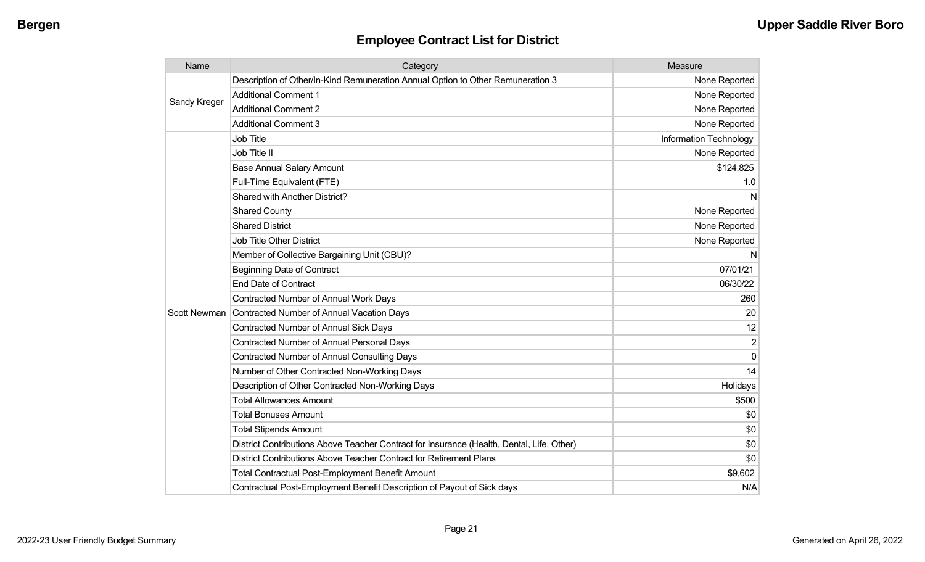| Name         | Category                                                                                  | Measure                |
|--------------|-------------------------------------------------------------------------------------------|------------------------|
| Sandy Kreger | Description of Other/In-Kind Remuneration Annual Option to Other Remuneration 3           | None Reported          |
|              | <b>Additional Comment 1</b>                                                               | None Reported          |
|              | <b>Additional Comment 2</b>                                                               | None Reported          |
|              | <b>Additional Comment 3</b>                                                               | None Reported          |
|              | <b>Job Title</b>                                                                          | Information Technology |
|              | Job Title II                                                                              | None Reported          |
|              | <b>Base Annual Salary Amount</b>                                                          | \$124,825              |
|              | Full-Time Equivalent (FTE)                                                                | 1.0                    |
|              | Shared with Another District?                                                             | N                      |
|              | <b>Shared County</b>                                                                      | None Reported          |
|              | <b>Shared District</b>                                                                    | None Reported          |
|              | <b>Job Title Other District</b>                                                           | None Reported          |
|              | Member of Collective Bargaining Unit (CBU)?                                               | N                      |
|              | <b>Beginning Date of Contract</b>                                                         | 07/01/21               |
|              | <b>End Date of Contract</b>                                                               | 06/30/22               |
|              | <b>Contracted Number of Annual Work Days</b>                                              | 260                    |
| Scott Newman | Contracted Number of Annual Vacation Days                                                 | 20                     |
|              | Contracted Number of Annual Sick Days                                                     | 12                     |
|              | <b>Contracted Number of Annual Personal Days</b>                                          | $\overline{2}$         |
|              | <b>Contracted Number of Annual Consulting Days</b>                                        | $\Omega$               |
|              | Number of Other Contracted Non-Working Days                                               | 14                     |
|              | Description of Other Contracted Non-Working Days                                          | Holidays               |
|              | <b>Total Allowances Amount</b>                                                            | \$500                  |
|              | <b>Total Bonuses Amount</b>                                                               | \$0                    |
|              | <b>Total Stipends Amount</b>                                                              | \$0                    |
|              | District Contributions Above Teacher Contract for Insurance (Health, Dental, Life, Other) | \$0                    |
|              | District Contributions Above Teacher Contract for Retirement Plans                        | \$0                    |
|              | <b>Total Contractual Post-Employment Benefit Amount</b>                                   | \$9,602                |
|              | Contractual Post-Employment Benefit Description of Payout of Sick days                    | N/A                    |